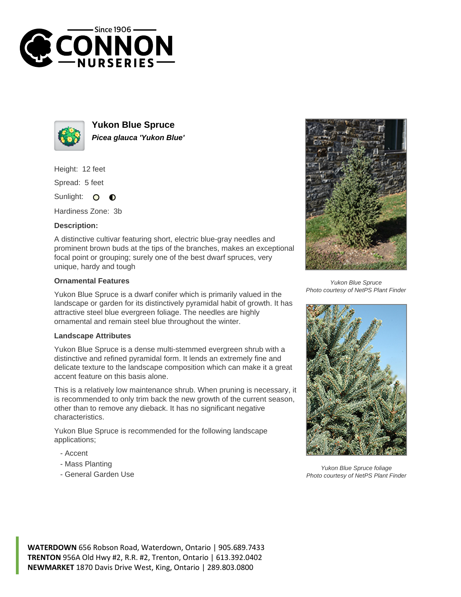



**Yukon Blue Spruce Picea glauca 'Yukon Blue'**

Height: 12 feet

Spread: 5 feet

Sunlight: O  $\bullet$ 

Hardiness Zone: 3b

## **Description:**

A distinctive cultivar featuring short, electric blue-gray needles and prominent brown buds at the tips of the branches, makes an exceptional focal point or grouping; surely one of the best dwarf spruces, very unique, hardy and tough

## **Ornamental Features**

Yukon Blue Spruce is a dwarf conifer which is primarily valued in the landscape or garden for its distinctively pyramidal habit of growth. It has attractive steel blue evergreen foliage. The needles are highly ornamental and remain steel blue throughout the winter.

## **Landscape Attributes**

Yukon Blue Spruce is a dense multi-stemmed evergreen shrub with a distinctive and refined pyramidal form. It lends an extremely fine and delicate texture to the landscape composition which can make it a great accent feature on this basis alone.

This is a relatively low maintenance shrub. When pruning is necessary, it is recommended to only trim back the new growth of the current season, other than to remove any dieback. It has no significant negative characteristics.

Yukon Blue Spruce is recommended for the following landscape applications;

- Accent
- Mass Planting
- General Garden Use



Yukon Blue Spruce Photo courtesy of NetPS Plant Finder



Yukon Blue Spruce foliage Photo courtesy of NetPS Plant Finder

**WATERDOWN** 656 Robson Road, Waterdown, Ontario | 905.689.7433 **TRENTON** 956A Old Hwy #2, R.R. #2, Trenton, Ontario | 613.392.0402 **NEWMARKET** 1870 Davis Drive West, King, Ontario | 289.803.0800